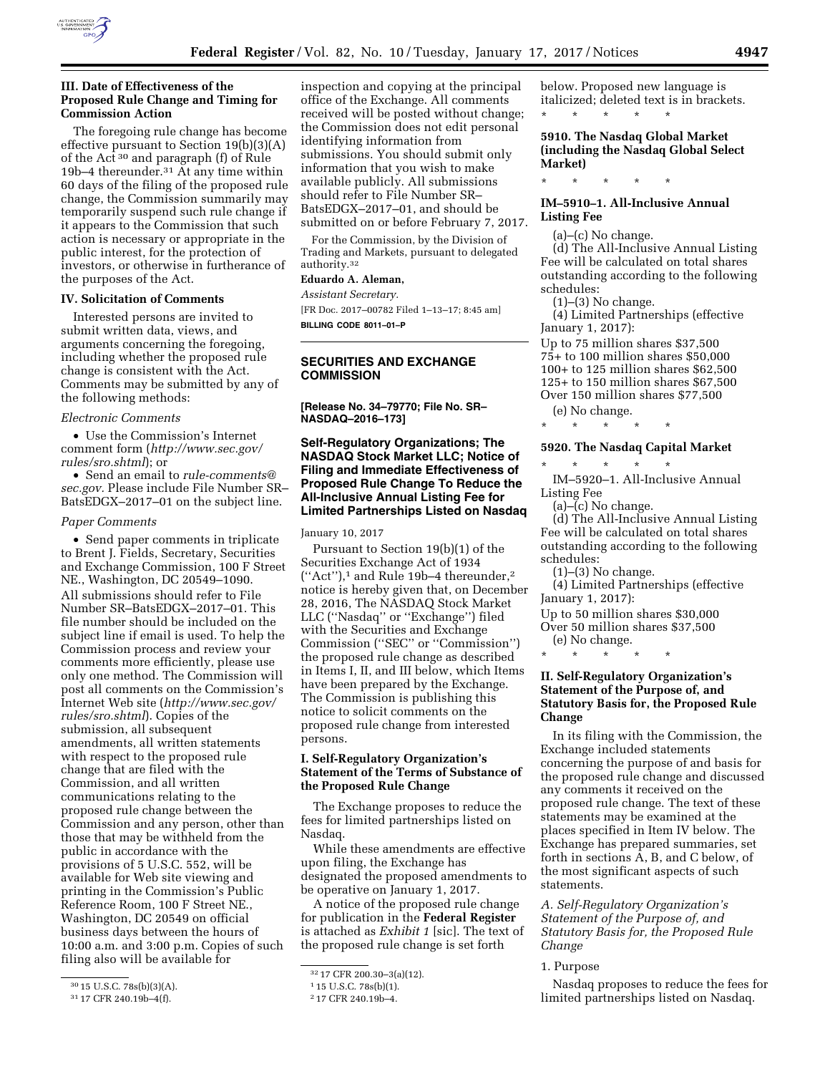

### **III. Date of Effectiveness of the Proposed Rule Change and Timing for Commission Action**

The foregoing rule change has become effective pursuant to Section 19(b)(3)(A) of the Act 30 and paragraph (f) of Rule 19b–4 thereunder.31 At any time within 60 days of the filing of the proposed rule change, the Commission summarily may temporarily suspend such rule change if it appears to the Commission that such action is necessary or appropriate in the public interest, for the protection of investors, or otherwise in furtherance of the purposes of the Act.

### **IV. Solicitation of Comments**

Interested persons are invited to submit written data, views, and arguments concerning the foregoing, including whether the proposed rule change is consistent with the Act. Comments may be submitted by any of the following methods:

#### *Electronic Comments*

• Use the Commission's Internet comment form (*[http://www.sec.gov/](http://www.sec.gov/rules/sro.shtml)  [rules/sro.shtml](http://www.sec.gov/rules/sro.shtml)*); or

• Send an email to *[rule-comments@](mailto:rule-comments@sec.gov) [sec.gov.](mailto:rule-comments@sec.gov)* Please include File Number SR– BatsEDGX–2017–01 on the subject line.

### *Paper Comments*

• Send paper comments in triplicate to Brent J. Fields, Secretary, Securities and Exchange Commission, 100 F Street NE., Washington, DC 20549–1090. All submissions should refer to File Number SR–BatsEDGX–2017–01. This file number should be included on the subject line if email is used. To help the Commission process and review your comments more efficiently, please use only one method. The Commission will post all comments on the Commission's Internet Web site (*[http://www.sec.gov/](http://www.sec.gov/rules/sro.shtml)  [rules/sro.shtml](http://www.sec.gov/rules/sro.shtml)*). Copies of the submission, all subsequent amendments, all written statements with respect to the proposed rule change that are filed with the Commission, and all written communications relating to the proposed rule change between the Commission and any person, other than those that may be withheld from the public in accordance with the provisions of 5 U.S.C. 552, will be available for Web site viewing and printing in the Commission's Public Reference Room, 100 F Street NE., Washington, DC 20549 on official business days between the hours of 10:00 a.m. and 3:00 p.m. Copies of such filing also will be available for

inspection and copying at the principal office of the Exchange. All comments received will be posted without change; the Commission does not edit personal identifying information from submissions. You should submit only information that you wish to make available publicly. All submissions should refer to File Number SR– BatsEDGX–2017–01, and should be submitted on or before February 7, 2017.

For the Commission, by the Division of Trading and Markets, pursuant to delegated authority.32

# **Eduardo A. Aleman,**

*Assistant Secretary.*  [FR Doc. 2017–00782 Filed 1–13–17; 8:45 am] **BILLING CODE 8011–01–P** 

### **SECURITIES AND EXCHANGE COMMISSION**

**[Release No. 34–79770; File No. SR– NASDAQ–2016–173]** 

## **Self-Regulatory Organizations; The NASDAQ Stock Market LLC; Notice of Filing and Immediate Effectiveness of Proposed Rule Change To Reduce the All-Inclusive Annual Listing Fee for Limited Partnerships Listed on Nasdaq**

#### January 10, 2017

Pursuant to Section 19(b)(1) of the Securities Exchange Act of 1934 (''Act''),1 and Rule 19b–4 thereunder,2 notice is hereby given that, on December 28, 2016, The NASDAQ Stock Market LLC (''Nasdaq'' or ''Exchange'') filed with the Securities and Exchange Commission (''SEC'' or ''Commission'') the proposed rule change as described in Items I, II, and III below, which Items have been prepared by the Exchange. The Commission is publishing this notice to solicit comments on the proposed rule change from interested persons.

# **I. Self-Regulatory Organization's Statement of the Terms of Substance of the Proposed Rule Change**

The Exchange proposes to reduce the fees for limited partnerships listed on Nasdaq.

While these amendments are effective upon filing, the Exchange has designated the proposed amendments to be operative on January 1, 2017.

A notice of the proposed rule change for publication in the **Federal Register**  is attached as *Exhibit 1* [sic]. The text of the proposed rule change is set forth

below. Proposed new language is italicized; deleted text is in brackets. \* \* \* \* \*

**5910. The Nasdaq Global Market (including the Nasdaq Global Select Market)** 

\* \* \* \* \*

# **IM–5910–1. All-Inclusive Annual Listing Fee**

(a)–(c) No change.

(d) The All-Inclusive Annual Listing Fee will be calculated on total shares outstanding according to the following schedules:

(1)–(3) No change.

(4) Limited Partnerships (effective January 1, 2017):

Up to 75 million shares \$37,500 75+ to 100 million shares \$50,000 100+ to 125 million shares \$62,500 125+ to 150 million shares \$67,500 Over 150 million shares \$77,500

(e) No change.

\* \* \* \* \*

### **5920. The Nasdaq Capital Market**

\* \* \* \* \* IM–5920–1. All-Inclusive Annual Listing Fee

 $(a)$ – $(c)$  No change.

(d) The All-Inclusive Annual Listing Fee will be calculated on total shares outstanding according to the following schedules:

(1)–(3) No change.

(4) Limited Partnerships (effective January 1, 2017):

Up to 50 million shares \$30,000

Over 50 million shares \$37,500

(e) No change. \* \* \* \* \*

# **II. Self-Regulatory Organization's Statement of the Purpose of, and Statutory Basis for, the Proposed Rule Change**

In its filing with the Commission, the Exchange included statements concerning the purpose of and basis for the proposed rule change and discussed any comments it received on the proposed rule change. The text of these statements may be examined at the places specified in Item IV below. The Exchange has prepared summaries, set forth in sections A, B, and C below, of the most significant aspects of such statements.

*A. Self-Regulatory Organization's Statement of the Purpose of, and Statutory Basis for, the Proposed Rule Change* 

1. Purpose

Nasdaq proposes to reduce the fees for limited partnerships listed on Nasdaq.

<sup>30</sup> 15 U.S.C. 78s(b)(3)(A).

<sup>31</sup> 17 CFR 240.19b–4(f).

<sup>32</sup> 17 CFR 200.30–3(a)(12).

<sup>1</sup> 15 U.S.C. 78s(b)(1).

<sup>2</sup> 17 CFR 240.19b–4.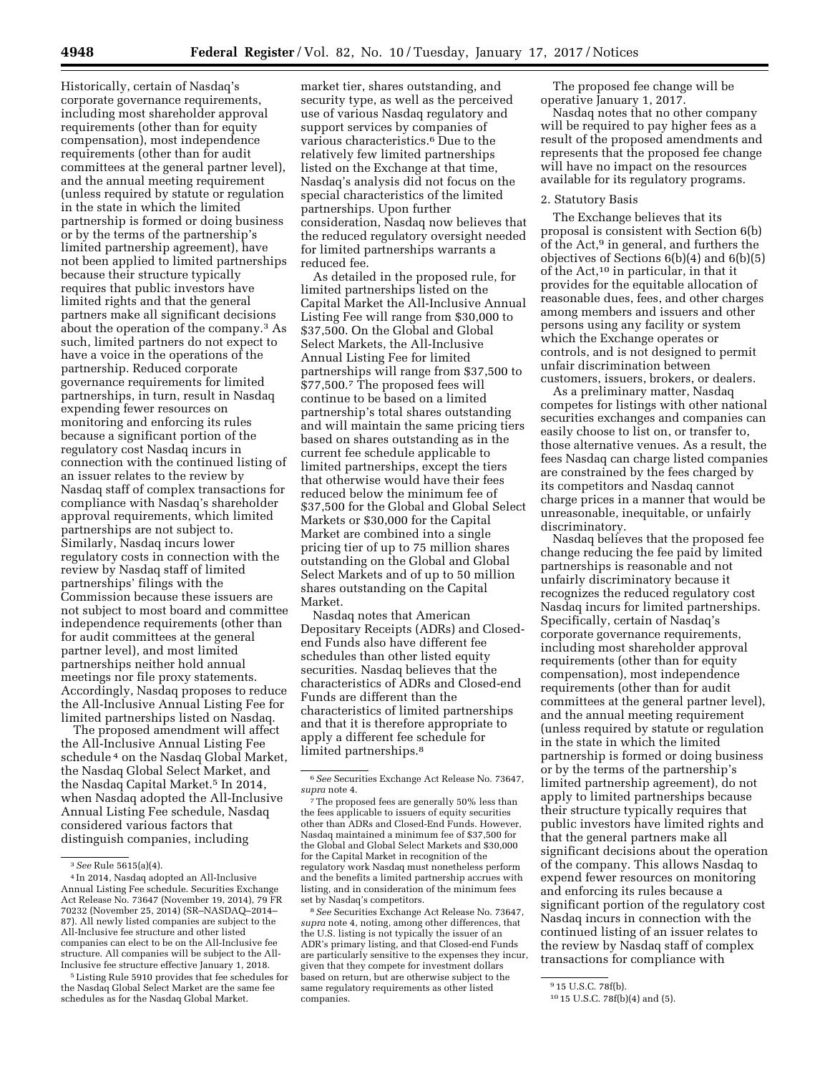Historically, certain of Nasdaq's corporate governance requirements, including most shareholder approval requirements (other than for equity compensation), most independence requirements (other than for audit committees at the general partner level), and the annual meeting requirement (unless required by statute or regulation in the state in which the limited partnership is formed or doing business or by the terms of the partnership's limited partnership agreement), have not been applied to limited partnerships because their structure typically requires that public investors have limited rights and that the general partners make all significant decisions about the operation of the company.3 As such, limited partners do not expect to have a voice in the operations of the partnership. Reduced corporate governance requirements for limited partnerships, in turn, result in Nasdaq expending fewer resources on monitoring and enforcing its rules because a significant portion of the regulatory cost Nasdaq incurs in connection with the continued listing of an issuer relates to the review by Nasdaq staff of complex transactions for compliance with Nasdaq's shareholder approval requirements, which limited partnerships are not subject to. Similarly, Nasdaq incurs lower regulatory costs in connection with the review by Nasdaq staff of limited partnerships' filings with the Commission because these issuers are not subject to most board and committee independence requirements (other than for audit committees at the general partner level), and most limited partnerships neither hold annual meetings nor file proxy statements. Accordingly, Nasdaq proposes to reduce the All-Inclusive Annual Listing Fee for limited partnerships listed on Nasdaq.

The proposed amendment will affect the All-Inclusive Annual Listing Fee schedule 4 on the Nasdaq Global Market, the Nasdaq Global Select Market, and the Nasdaq Capital Market.<sup>5</sup> In 2014, when Nasdaq adopted the All-Inclusive Annual Listing Fee schedule, Nasdaq considered various factors that distinguish companies, including

market tier, shares outstanding, and security type, as well as the perceived use of various Nasdaq regulatory and support services by companies of various characteristics.6 Due to the relatively few limited partnerships listed on the Exchange at that time, Nasdaq's analysis did not focus on the special characteristics of the limited partnerships. Upon further consideration, Nasdaq now believes that the reduced regulatory oversight needed for limited partnerships warrants a reduced fee.

As detailed in the proposed rule, for limited partnerships listed on the Capital Market the All-Inclusive Annual Listing Fee will range from \$30,000 to \$37,500. On the Global and Global Select Markets, the All-Inclusive Annual Listing Fee for limited partnerships will range from \$37,500 to \$77,500.7 The proposed fees will continue to be based on a limited partnership's total shares outstanding and will maintain the same pricing tiers based on shares outstanding as in the current fee schedule applicable to limited partnerships, except the tiers that otherwise would have their fees reduced below the minimum fee of \$37,500 for the Global and Global Select Markets or \$30,000 for the Capital Market are combined into a single pricing tier of up to 75 million shares outstanding on the Global and Global Select Markets and of up to 50 million shares outstanding on the Capital Market.

Nasdaq notes that American Depositary Receipts (ADRs) and Closedend Funds also have different fee schedules than other listed equity securities. Nasdaq believes that the characteristics of ADRs and Closed-end Funds are different than the characteristics of limited partnerships and that it is therefore appropriate to apply a different fee schedule for limited partnerships.<sup>8</sup>

8*See* Securities Exchange Act Release No. 73647, *supra* note 4, noting, among other differences, that the U.S. listing is not typically the issuer of an ADR's primary listing, and that Closed-end Funds are particularly sensitive to the expenses they incur, given that they compete for investment dollars based on return, but are otherwise subject to the same regulatory requirements as other listed companies.

The proposed fee change will be operative January 1, 2017.

Nasdaq notes that no other company will be required to pay higher fees as a result of the proposed amendments and represents that the proposed fee change will have no impact on the resources available for its regulatory programs.

# 2. Statutory Basis

The Exchange believes that its proposal is consistent with Section 6(b) of the Act,<sup>9</sup> in general, and furthers the objectives of Sections 6(b)(4) and 6(b)(5) of the Act,10 in particular, in that it provides for the equitable allocation of reasonable dues, fees, and other charges among members and issuers and other persons using any facility or system which the Exchange operates or controls, and is not designed to permit unfair discrimination between customers, issuers, brokers, or dealers.

As a preliminary matter, Nasdaq competes for listings with other national securities exchanges and companies can easily choose to list on, or transfer to, those alternative venues. As a result, the fees Nasdaq can charge listed companies are constrained by the fees charged by its competitors and Nasdaq cannot charge prices in a manner that would be unreasonable, inequitable, or unfairly discriminatory.

Nasdaq believes that the proposed fee change reducing the fee paid by limited partnerships is reasonable and not unfairly discriminatory because it recognizes the reduced regulatory cost Nasdaq incurs for limited partnerships. Specifically, certain of Nasdaq's corporate governance requirements, including most shareholder approval requirements (other than for equity compensation), most independence requirements (other than for audit committees at the general partner level), and the annual meeting requirement (unless required by statute or regulation in the state in which the limited partnership is formed or doing business or by the terms of the partnership's limited partnership agreement), do not apply to limited partnerships because their structure typically requires that public investors have limited rights and that the general partners make all significant decisions about the operation of the company. This allows Nasdaq to expend fewer resources on monitoring and enforcing its rules because a significant portion of the regulatory cost Nasdaq incurs in connection with the continued listing of an issuer relates to the review by Nasdaq staff of complex transactions for compliance with

<sup>3</sup>*See* Rule 5615(a)(4).

<sup>4</sup> In 2014, Nasdaq adopted an All-Inclusive Annual Listing Fee schedule. Securities Exchange Act Release No. 73647 (November 19, 2014), 79 FR 70232 (November 25, 2014) (SR–NASDAQ–2014– 87). All newly listed companies are subject to the All-Inclusive fee structure and other listed companies can elect to be on the All-Inclusive fee structure. All companies will be subject to the All-Inclusive fee structure effective January 1, 2018.

<sup>5</sup>Listing Rule 5910 provides that fee schedules for the Nasdaq Global Select Market are the same fee schedules as for the Nasdaq Global Market.

<sup>6</sup>*See* Securities Exchange Act Release No. 73647, *supra* note 4.

<sup>7</sup>The proposed fees are generally 50% less than the fees applicable to issuers of equity securities other than ADRs and Closed-End Funds. However, Nasdaq maintained a minimum fee of \$37,500 for the Global and Global Select Markets and \$30,000 for the Capital Market in recognition of the regulatory work Nasdaq must nonetheless perform and the benefits a limited partnership accrues with listing, and in consideration of the minimum fees set by Nasdaq's competitors.

<sup>9</sup> 15 U.S.C. 78f(b).

<sup>10</sup> 15 U.S.C. 78f(b)(4) and (5).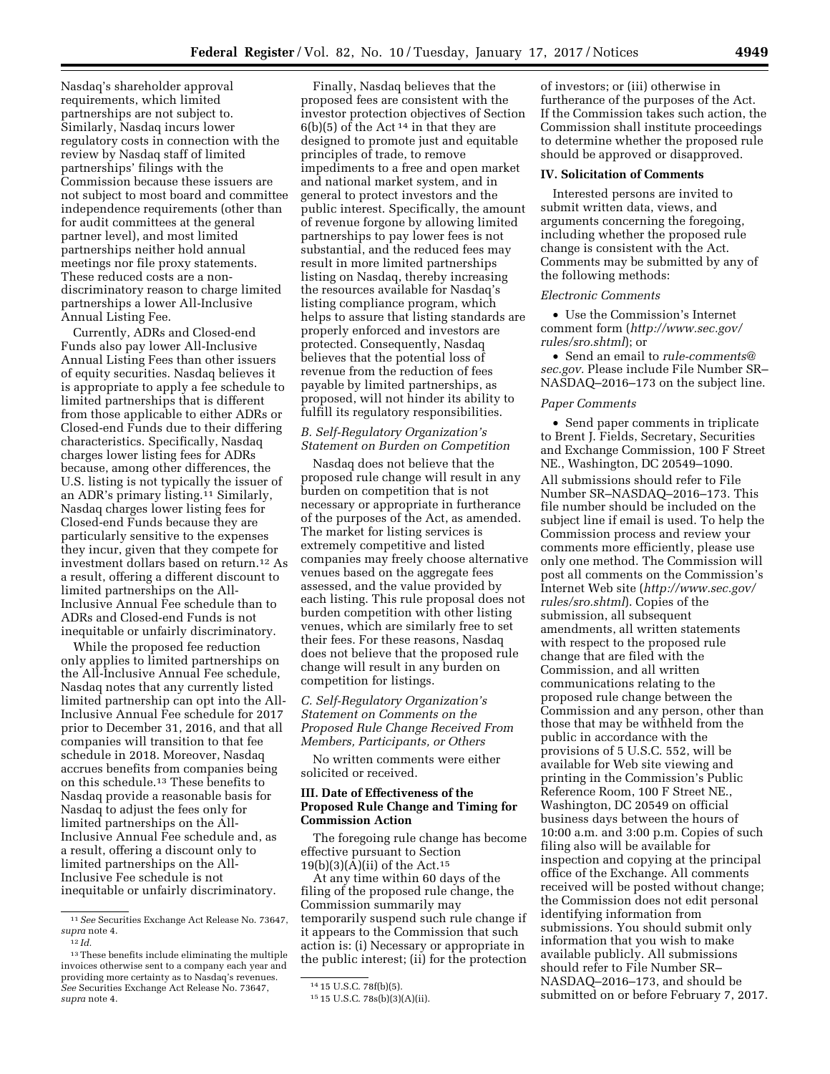Nasdaq's shareholder approval requirements, which limited partnerships are not subject to. Similarly, Nasdaq incurs lower regulatory costs in connection with the review by Nasdaq staff of limited partnerships' filings with the Commission because these issuers are not subject to most board and committee independence requirements (other than for audit committees at the general partner level), and most limited partnerships neither hold annual meetings nor file proxy statements. These reduced costs are a nondiscriminatory reason to charge limited partnerships a lower All-Inclusive Annual Listing Fee.

Currently, ADRs and Closed-end Funds also pay lower All-Inclusive Annual Listing Fees than other issuers of equity securities. Nasdaq believes it is appropriate to apply a fee schedule to limited partnerships that is different from those applicable to either ADRs or Closed-end Funds due to their differing characteristics. Specifically, Nasdaq charges lower listing fees for ADRs because, among other differences, the U.S. listing is not typically the issuer of an ADR's primary listing.11 Similarly, Nasdaq charges lower listing fees for Closed-end Funds because they are particularly sensitive to the expenses they incur, given that they compete for investment dollars based on return.12 As a result, offering a different discount to limited partnerships on the All-Inclusive Annual Fee schedule than to ADRs and Closed-end Funds is not inequitable or unfairly discriminatory.

While the proposed fee reduction only applies to limited partnerships on the All-Inclusive Annual Fee schedule, Nasdaq notes that any currently listed limited partnership can opt into the All-Inclusive Annual Fee schedule for 2017 prior to December 31, 2016, and that all companies will transition to that fee schedule in 2018. Moreover, Nasdaq accrues benefits from companies being on this schedule.13 These benefits to Nasdaq provide a reasonable basis for Nasdaq to adjust the fees only for limited partnerships on the All-Inclusive Annual Fee schedule and, as a result, offering a discount only to limited partnerships on the All-Inclusive Fee schedule is not inequitable or unfairly discriminatory.

Finally, Nasdaq believes that the proposed fees are consistent with the investor protection objectives of Section  $6(b)(5)$  of the Act<sup>14</sup> in that they are designed to promote just and equitable principles of trade, to remove impediments to a free and open market and national market system, and in general to protect investors and the public interest. Specifically, the amount of revenue forgone by allowing limited partnerships to pay lower fees is not substantial, and the reduced fees may result in more limited partnerships listing on Nasdaq, thereby increasing the resources available for Nasdaq's listing compliance program, which helps to assure that listing standards are properly enforced and investors are protected. Consequently, Nasdaq believes that the potential loss of revenue from the reduction of fees payable by limited partnerships, as proposed, will not hinder its ability to fulfill its regulatory responsibilities.

# *B. Self-Regulatory Organization's Statement on Burden on Competition*

Nasdaq does not believe that the proposed rule change will result in any burden on competition that is not necessary or appropriate in furtherance of the purposes of the Act, as amended. The market for listing services is extremely competitive and listed companies may freely choose alternative venues based on the aggregate fees assessed, and the value provided by each listing. This rule proposal does not burden competition with other listing venues, which are similarly free to set their fees. For these reasons, Nasdaq does not believe that the proposed rule change will result in any burden on competition for listings.

*C. Self-Regulatory Organization's Statement on Comments on the Proposed Rule Change Received From Members, Participants, or Others* 

No written comments were either solicited or received.

## **III. Date of Effectiveness of the Proposed Rule Change and Timing for Commission Action**

The foregoing rule change has become effective pursuant to Section  $19(b)(3)(A)(ii)$  of the Act.<sup>15</sup>

At any time within 60 days of the filing of the proposed rule change, the Commission summarily may temporarily suspend such rule change if it appears to the Commission that such action is: (i) Necessary or appropriate in the public interest; (ii) for the protection

of investors; or (iii) otherwise in furtherance of the purposes of the Act. If the Commission takes such action, the Commission shall institute proceedings to determine whether the proposed rule should be approved or disapproved.

#### **IV. Solicitation of Comments**

Interested persons are invited to submit written data, views, and arguments concerning the foregoing, including whether the proposed rule change is consistent with the Act. Comments may be submitted by any of the following methods:

#### *Electronic Comments*

• Use the Commission's Internet comment form (*[http://www.sec.gov/](http://www.sec.gov/rules/sro.shtml)  [rules/sro.shtml](http://www.sec.gov/rules/sro.shtml)*); or

• Send an email to *[rule-comments@](mailto:rule-comments@sec.gov) [sec.gov.](mailto:rule-comments@sec.gov)* Please include File Number SR– NASDAQ–2016–173 on the subject line.

#### *Paper Comments*

• Send paper comments in triplicate to Brent J. Fields, Secretary, Securities and Exchange Commission, 100 F Street NE., Washington, DC 20549–1090. All submissions should refer to File Number SR–NASDAQ–2016–173. This file number should be included on the subject line if email is used. To help the Commission process and review your comments more efficiently, please use only one method. The Commission will post all comments on the Commission's Internet Web site (*[http://www.sec.gov/](http://www.sec.gov/rules/sro.shtml)  [rules/sro.shtml](http://www.sec.gov/rules/sro.shtml)*). Copies of the submission, all subsequent amendments, all written statements with respect to the proposed rule change that are filed with the Commission, and all written communications relating to the proposed rule change between the Commission and any person, other than those that may be withheld from the public in accordance with the provisions of 5 U.S.C. 552, will be available for Web site viewing and printing in the Commission's Public Reference Room, 100 F Street NE., Washington, DC 20549 on official business days between the hours of 10:00 a.m. and 3:00 p.m. Copies of such filing also will be available for inspection and copying at the principal office of the Exchange. All comments received will be posted without change; the Commission does not edit personal identifying information from submissions. You should submit only information that you wish to make available publicly. All submissions should refer to File Number SR– NASDAQ–2016–173, and should be submitted on or before February 7, 2017.

<sup>11</sup>*See* Securities Exchange Act Release No. 73647, *supra* note 4.

 $12$  *Id.* 

<sup>13</sup>These benefits include eliminating the multiple invoices otherwise sent to a company each year and providing more certainty as to Nasdaq's revenues. *See* Securities Exchange Act Release No. 73647, *supra* note 4.

<sup>14</sup> 15 U.S.C. 78f(b)(5).

<sup>15</sup> 15 U.S.C. 78s(b)(3)(A)(ii).